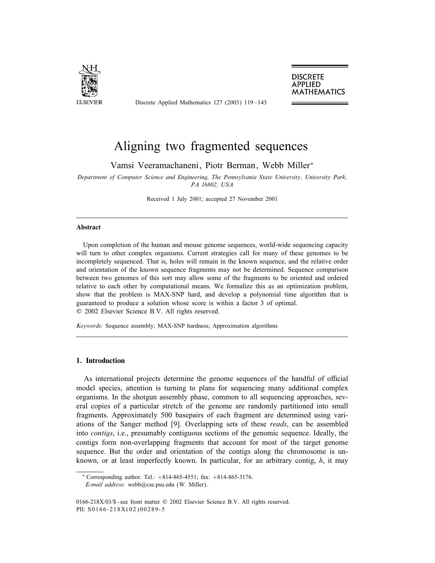

Discrete Applied Mathematics 127 (2003) 119 – 143

# Aligning two fragmented sequences

**DISCRETE APPLIED MATHEMATICS** 

Vamsi Veeramachaneni, Piotr Berman, Webb Miller<sup>∗</sup>

Department of Computer Science and Engineering, The Pennsylvania State University, University Park, PA 16802, USA

Received 1 July 2001; accepted 27 November 2001

#### Abstract

Upon completion of the human and mouse genome sequences, world-wide sequencing capacity will turn to other complex organisms. Current strategies call for many of these genomes to be incompletely sequenced. That is, holes will remain in the known sequence, and the relative order and orientation of the known sequence fragments may not be determined. Sequence comparison between two genomes of this sort may allow some of the fragments to be oriented and ordered relative to each other by computational means. We formalize this as an optimization problem, show that the problem is MAX-SNP hard, and develop a polynomial time algorithm that is guaranteed to produce a solution whose score is within a factor 3 of optimal. ? 2002 Elsevier Science B.V. All rights reserved.

Keywords: Sequence assembly; MAX-SNP hardness; Approximation algorithms

### 1. Introduction

As international projects determine the genome sequences of the handful of official model species, attention is turning to plans for sequencing many additional complex organisms. In the shotgun assembly phase, common to all sequencing approaches, several copies of a particular stretch of the genome are randomly partitioned into small fragments. Approximately 500 basepairs of each fragment are determined using variations of the Sanger method [9]. Overlapping sets of these reads, can be assembled into contigs, i.e., presumably contiguous sections of the genomic sequence. Ideally, the contigs form non-overlapping fragments that account for most of the target genome sequence. But the order and orientation of the contigs along the chromosome is unknown, or at least imperfectly known. In particular, for an arbitrary contig,  $h$ , it may

<sup>∗</sup> Corresponding author. Tel.: +814-865-4551; fax: +814-865-3176.

E-mail address: webb@cse.psu.edu (W. Miller).

<sup>0166-218</sup>X/03/\$ - see front matter  $\odot$  2002 Elsevier Science B.V. All rights reserved. PII: S0166-218X(02)00289-5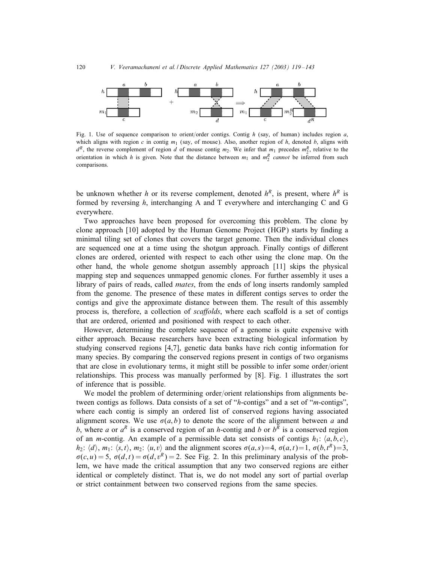

Fig. 1. Use of sequence comparison to orient/order contigs. Contig h (say, of human) includes region a, which aligns with region c in contig  $m_1$  (say, of mouse). Also, another region of h, denoted b, aligns with  $d^R$ , the reverse complement of region d of mouse contig  $m_2$ . We infer that  $m_1$  precedes  $m_2^R$ , relative to the orientation in which h is given. Note that the distance between  $m_1$  and  $m_2^R$  cannot be inferred from such comparisons.

be unknown whether h or its reverse complement, denoted  $h^R$ , is present, where  $h^R$  is formed by reversing h, interchanging A and T everywhere and interchanging C and G everywhere.

Two approaches have been proposed for overcoming this problem. The clone by clone approach [10] adopted by the Human Genome Project (HGP) starts by Inding a minimal tiling set of clones that covers the target genome. Then the individual clones are sequenced one at a time using the shotgun approach. Finally contigs of different clones are ordered, oriented with respect to each other using the clone map. On the other hand, the whole genome shotgun assembly approach [11] skips the physical mapping step and sequences unmapped genomic clones. For further assembly it uses a library of pairs of reads, called *mates*, from the ends of long inserts randomly sampled from the genome. The presence of these mates in different contigs serves to order the contigs and give the approximate distance between them. The result of this assembly process is, therefore, a collection of *scaffolds*, where each scaffold is a set of contigs that are ordered, oriented and positioned with respect to each other.

However, determining the complete sequence of a genome is quite expensive with either approach. Because researchers have been extracting biological information by studying conserved regions [4,7], genetic data banks have rich contig information for many species. By comparing the conserved regions present in contigs of two organisms that are close in evolutionary terms, it might still be possible to infer some order/orient relationships. This process was manually performed by [8]. Fig. 1 illustrates the sort of inference that is possible.

We model the problem of determining order/orient relationships from alignments between contigs as follows. Data consists of a set of "h-contigs" and a set of "m-contigs", where each contig is simply an ordered list of conserved regions having associated alignment scores. We use  $\sigma(a, b)$  to denote the score of the alignment between a and b, where a or  $a^R$  is a conserved region of an h-contig and b or  $b^R$  is a conserved region of an *m*-contig. An example of a permissible data set consists of contigs  $h_1$ :  $\langle a, b, c \rangle$ ,  $h_2$ :  $\langle d \rangle$ ,  $m_1$ :  $\langle s, t \rangle$ ,  $m_2$ :  $\langle u, v \rangle$  and the alignment scores  $\sigma(a, s) = 4$ ,  $\sigma(a, t) = 1$ ,  $\sigma(b, t^R) = 3$ ,  $\sigma(c, u) = 5$ ,  $\sigma(d, t) = \sigma(d, v^R) = 2$ . See Fig. 2. In this preliminary analysis of the problem, we have made the critical assumption that any two conserved regions are either identical or completely distinct. That is, we do not model any sort of partial overlap or strict containment between two conserved regions from the same species.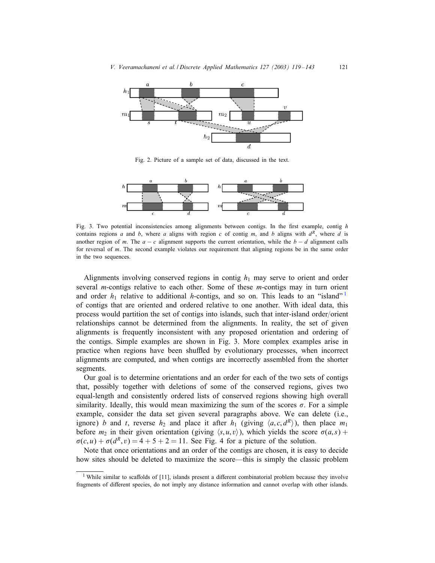

Fig. 2. Picture of a sample set of data, discussed in the text.



Fig. 3. Two potential inconsistencies among alignments between contigs. In the first example, contig  $h$ contains regions a and b, where a aligns with region c of contig m, and b aligns with  $d<sup>R</sup>$ , where d is another region of m. The  $a - c$  alignment supports the current orientation, while the  $b - d$  alignment calls for reversal of m. The second example violates our requirement that aligning regions be in the same order in the two sequences.

Alignments involving conserved regions in contig  $h_1$  may serve to orient and order several m-contigs relative to each other. Some of these m-contigs may in turn orient and order  $h_1$  relative to additional h-contigs, and so on. This leads to an "island" of contigs that are oriented and ordered relative to one another. With ideal data, this process would partition the set of contigs into islands, such that inter-island order/orient relationships cannot be determined from the alignments. In reality, the set of given alignments is frequently inconsistent with any proposed orientation and ordering of the contigs. Simple examples are shown in Fig. 3. More complex examples arise in practice when regions have been shuffled by evolutionary processes, when incorrect alignments are computed, and when contigs are incorrectly assembled from the shorter segments.

Our goal is to determine orientations and an order for each of the two sets of contigs that, possibly together with deletions of some of the conserved regions, gives two equal-length and consistently ordered lists of conserved regions showing high overall similarity. Ideally, this would mean maximizing the sum of the scores  $\sigma$ . For a simple example, consider the data set given several paragraphs above. We can delete (i.e., ignore) b and t, reverse  $h_2$  and place it after  $h_1$  (giving  $\langle a, c, d^R \rangle$ ), then place  $m_1$ before  $m_2$  in their given orientation (giving  $\langle s, u, v \rangle$ ), which yields the score  $\sigma(a, s)$  +  $\sigma(c, u) + \sigma(d^R, v) = 4 + 5 + 2 = 11$ . See Fig. 4 for a picture of the solution.

Note that once orientations and an order of the contigs are chosen, it is easy to decide how sites should be deleted to maximize the score—this is simply the classic problem

<sup>&</sup>lt;sup>1</sup> While similar to scaffolds of [11], islands present a different combinatorial problem because they involve fragments of different species, do not imply any distance information and cannot overlap with other islands.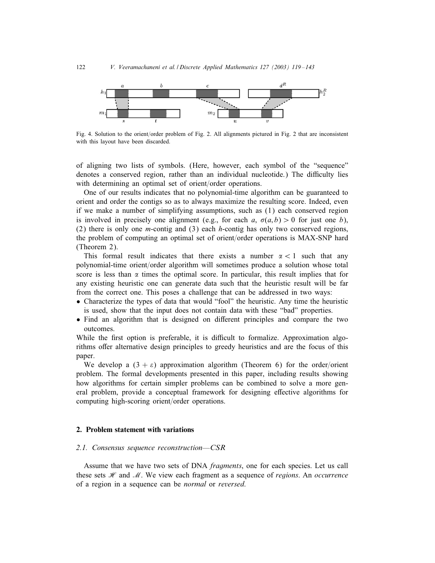

Fig. 4. Solution to the orient/order problem of Fig. 2. All alignments pictured in Fig. 2 that are inconsistent with this layout have been discarded.

of aligning two lists of symbols. (Here, however, each symbol of the "sequence" denotes a conserved region, rather than an individual nucleotide.) The difficulty lies with determining an optimal set of orient/order operations.

One of our results indicates that no polynomial-time algorithm can be guaranteed to orient and order the contigs so as to always maximize the resulting score. Indeed, even if we make a number of simplifying assumptions, such as (1) each conserved region is involved in precisely one alignment (e.g., for each a,  $\sigma(a, b) > 0$  for just one b), (2) there is only one *m*-contig and (3) each *h*-contig has only two conserved regions, the problem of computing an optimal set of orient/order operations is MAX-SNP hard (Theorem 2).

This formal result indicates that there exists a number  $\alpha < 1$  such that any polynomial-time orient/order algorithm will sometimes produce a solution whose total score is less than  $\alpha$  times the optimal score. In particular, this result implies that for any existing heuristic one can generate data such that the heuristic result will be far from the correct one. This poses a challenge that can be addressed in two ways:

- Characterize the types of data that would "fool" the heuristic. Any time the heuristic is used, show that the input does not contain data with these "bad" properties.
- Find an algorithm that is designed on different principles and compare the two outcomes.

While the first option is preferable, it is difficult to formalize. Approximation algorithms offer alternative design principles to greedy heuristics and are the focus of this paper.

We develop a  $(3 + \varepsilon)$  approximation algorithm (Theorem 6) for the order/orient problem. The formal developments presented in this paper, including results showing how algorithms for certain simpler problems can be combined to solve a more general problem, provide a conceptual framework for designing effective algorithms for computing high-scoring orient/order operations.

## 2. Problem statement with variations

#### 2.1. Consensus sequence reconstruction-CSR

Assume that we have two sets of DNA fragments, one for each species. Let us call these sets  $H$  and  $M$ . We view each fragment as a sequence of *regions*. An *occurrence* of a region in a sequence can be normal or reversed.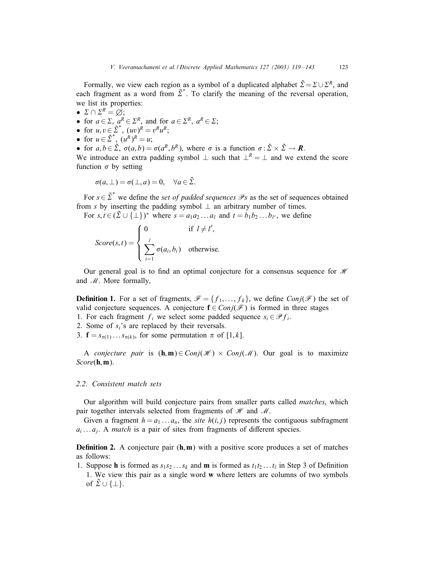Formally, we view each region as a symbol of a duplicated alphabet  $\tilde{\Sigma} = \Sigma \cup \Sigma^R$ , and each fragment as a word from  $\tilde{\Sigma}^*$ . To clarify the meaning of the reversal operation, we list its properties:

- $\Sigma \cap \Sigma^R = \varnothing;$
- for  $a \in \Sigma$ ,  $a^R \in \Sigma^R$ , and for  $a \in \Sigma^R$ ,  $a^R \in \Sigma$ ;
- for  $u, v \in \tilde{\Sigma}^*$ ,  $(uv)^R = v^R u^R$ ;
- for  $u \in \tilde{\Sigma}^*$ ,  $(u^R)^R = u$ ;
- for  $a, b \in \tilde{\Sigma}$ ,  $\sigma(a, b) = \sigma(a^R, b^R)$ , where  $\sigma$  is a function  $\sigma : \tilde{\Sigma} \times \tilde{\Sigma} \to \mathbb{R}$ .

We introduce an extra padding symbol  $\perp$  such that  $\perp^R = \perp$  and we extend the score function  $\sigma$  by setting

$$
\sigma(a, \perp) = \sigma(\perp, a) = 0, \quad \forall a \in \tilde{\Sigma}.
$$

For  $s \in \tilde{\Sigma}^*$  we define the set of padded sequences  $\mathcal{P}s$  as the set of sequences obtained from s by inserting the padding symbol  $\perp$  an arbitrary number of times.

For  $s, t \in (\tilde{\Sigma} \cup \{\perp\})^*$  where  $s = a_1 a_2 ... a_l$  and  $t = b_1 b_2 ... b_{l'}$ , we define

$$
Score(s,t) = \begin{cases} 0 & \text{if } l \neq l', \\ \sum_{i=1}^{l} \sigma(a_i, b_i) & \text{otherwise.} \end{cases}
$$

Our general goal is to find an optimal conjecture for a consensus sequence for  $\mathcal H$ and  $M$ . More formally,

**Definition 1.** For a set of fragments,  $\mathcal{F} = \{f_1, \ldots, f_k\}$ , we define  $Conj(\mathcal{F})$  the set of valid conjecture sequences. A conjecture  $f \in Conj(\mathcal{F})$  is formed in three stages

- 1. For each fragment  $f_i$  we select some padded sequence  $s_i \in \mathcal{P}f_i$ .
- 2. Some of  $s_i$ 's are replaced by their reversals.
- 3.  $\mathbf{f} = s_{\pi(1)} \dots s_{\pi(k)}$ , for some permutation  $\pi$  of [1, k].

A conjecture pair is  $(\mathbf{h}, \mathbf{m}) \in \text{Conj}(\mathcal{H}) \times \text{Conj}(\mathcal{M})$ . Our goal is to maximize  $Score(h, m)$ .

#### 2.2. Consistent match sets

Our algorithm will build conjecture pairs from smaller parts called *matches*, which pair together intervals selected from fragments of  $\mathcal H$  and  $\mathcal M$ .

Given a fragment  $h = a_1 \dots a_n$ , the *site*  $h(i, j)$  represents the contiguous subfragment  $a_i \dots a_j$ . A *match* is a pair of sites from fragments of different species.

**Definition 2.** A conjecture pair  $(h, m)$  with a positive score produces a set of matches as follows:

1. Suppose **h** is formed as  $s_1 s_2 ... s_k$  and **m** is formed as  $t_1 t_2 ... t_l$  in Step 3 of Definition 1. We view this pair as a single word w where letters are columns of two symbols of  $\tilde{\Sigma} \cup \{\perp\}.$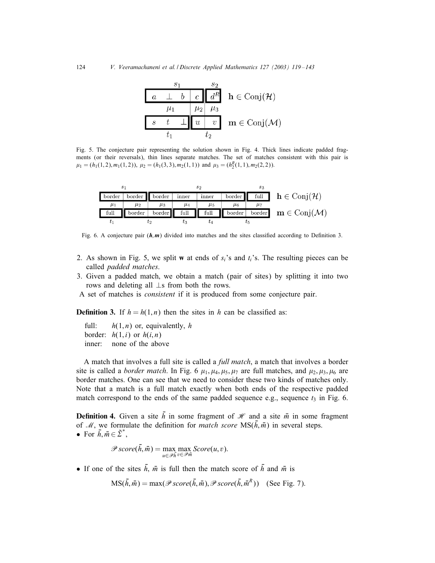| $\overline{a}$ |         | $c\parallel$     |           | $d^R$ $\mathbf{h} \in \mathrm{Conj}(\mathcal{H})$  |  |  |
|----------------|---------|------------------|-----------|----------------------------------------------------|--|--|
|                | $\mu_1$ | นว               | $\mu_{3}$ |                                                    |  |  |
|                |         | $\boldsymbol{u}$ |           | $v \mid \mathbf{m} \in \mathrm{Conj}(\mathcal{M})$ |  |  |
|                |         |                  | Ťη        |                                                    |  |  |

Fig. 5. The conjecture pair representing the solution shown in Fig. 4. Thick lines indicate padded fragments (or their reversals), thin lines separate matches. The set of matches consistent with this pair is  $\mu_1 = (h_1(1,2), m_1(1,2)), \mu_2 = (h_1(3,3), m_2(1,1))$  and  $\mu_3 = (h_2^R(1,1), m_2(2,2)).$ 

| $s_1$ |           | $s_2$   |                     |           |           | $s_3$                 |         |                                                    |
|-------|-----------|---------|---------------------|-----------|-----------|-----------------------|---------|----------------------------------------------------|
|       | border    |         | $border$ border     | inner     | inner     | border $\blacksquare$ |         | full $\mathbf{h} \in \mathrm{Conj}(\mathcal{H})$   |
|       | $\mu_1$   | $\mu_2$ | $\mu_3$             | $\mu_4$   | $\mu_5$   | $\mu_6$               | $\mu_7$ |                                                    |
|       | Ш<br>full | border  | border <sup>1</sup> | Ш<br>full | Ш<br>full | border                |         | border $\mathbf{m} \in \mathrm{Conj}(\mathcal{M})$ |
|       |           |         |                     |           | ŧΔ        |                       |         |                                                    |

Fig. 6. A conjecture pair  $(h, m)$  divided into matches and the sites classified according to Definition 3.

- 2. As shown in Fig. 5, we split w at ends of  $s_i$ 's and  $t_i$ 's. The resulting pieces can be called padded matches.
- 3. Given a padded match; we obtain a match (pair of sites) by splitting it into two rows and deleting all ⊥s from both the rows.
- A set of matches is consistent if it is produced from some conjecture pair.

**Definition 3.** If  $h = h(1, n)$  then the sites in h can be classified as:

full:  $h(1, n)$  or, equivalently, h border:  $h(1,i)$  or  $h(i,n)$ inner: none of the above

A match that involves a full site is called a full match, a match that involves a border site is called a *border match*. In Fig. 6  $\mu_1, \mu_4, \mu_5, \mu_7$  are full matches, and  $\mu_2, \mu_3, \mu_6$  are border matches. One can see that we need to consider these two kinds of matches only. Note that a match is a full match exactly when both ends of the respective padded match correspond to the ends of the same padded sequence e.g., sequence  $t_3$  in Fig. 6.

**Definition 4.** Given a site  $\bar{h}$  in some fragment of  $\mathcal{H}$  and a site  $\bar{m}$  in some fragment of *M*, we formulate the definition for *match score* MS( $\bar{h}$ ,  $\bar{m}$ ) in several steps.

• For 
$$
\bar{h}, \bar{m} \in \tilde{\Sigma}^*
$$
,

$$
\mathscr{P}score(\bar{h}, \bar{m}) = \max_{u \in \mathscr{P}\bar{h}} \max_{v \in \mathscr{P}\bar{m}} Score(u, v).
$$

• If one of the sites  $\bar{h}$ ,  $\bar{m}$  is full then the match score of  $\bar{h}$  and  $\bar{m}$  is

$$
MS(\bar{h}, \bar{m}) = \max(\mathcal{P} \, score(\bar{h}, \bar{m}), \mathcal{P} \, score(\bar{h}, \bar{m}^R))
$$
 (See Fig. 7).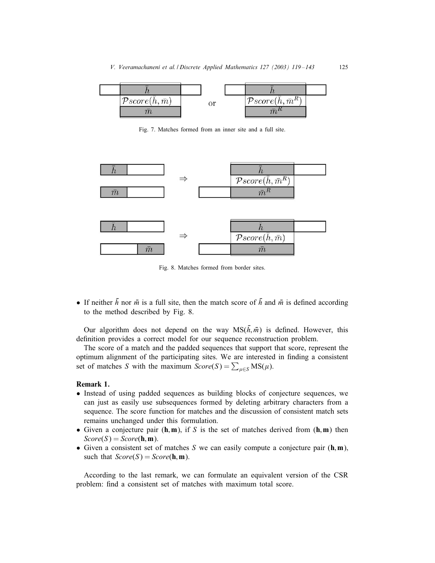

Fig. 7. Matches formed from an inner site and a full site.



Fig. 8. Matches formed from border sites.

• If neither  $\bar{h}$  nor  $\bar{m}$  is a full site, then the match score of  $\bar{h}$  and  $\bar{m}$  is defined according to the method described by Fig. 8.

Our algorithm does not depend on the way  $MS(\bar{h}, \bar{m})$  is defined. However, this definition provides a correct model for our sequence reconstruction problem.

The score of a match and the padded sequences that support that score, represent the optimum alignment of the participating sites. We are interested in Inding a consistent set of matches S with the maximum  $Score(S) = \sum_{\mu \in S} MS(\mu)$ .

# Remark 1.

- Instead of using padded sequences as building blocks of conjecture sequences; we can just as easily use subsequences formed by deleting arbitrary characters from a sequence. The score function for matches and the discussion of consistent match sets remains unchanged under this formulation.
- Given a conjecture pair  $(h, m)$ , if S is the set of matches derived from  $(h, m)$  then  $Score(S) = Score(\mathbf{h}, \mathbf{m}).$
- Given a consistent set of matches S we can easily compute a conjecture pair  $(h, m)$ , such that  $Score(S) = Score(\mathbf{h}, \mathbf{m}).$

According to the last remark, we can formulate an equivalent version of the CSR problem: Ind a consistent set of matches with maximum total score.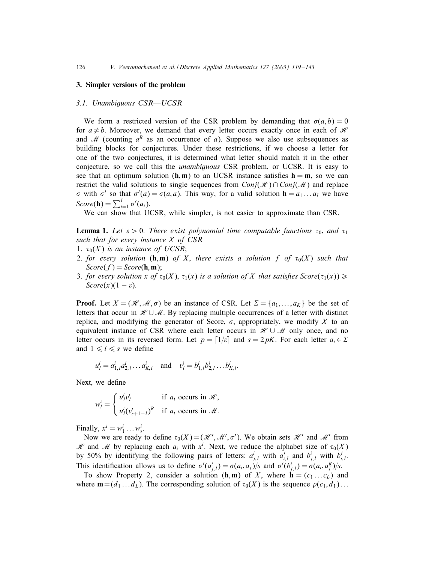## 3. Simpler versions of the problem

#### 3.1. Unambiguous CSR—UCSR

We form a restricted version of the CSR problem by demanding that  $\sigma(a, b) = 0$ for  $a \neq b$ . Moreover, we demand that every letter occurs exactly once in each of H and M (counting  $a^R$  as an occurrence of a). Suppose we also use subsequences as building blocks for conjectures. Under these restrictions, if we choose a letter for one of the two conjectures, it is determined what letter should match it in the other conjecture, so we call this the unambiguous CSR problem, or UCSR. It is easy to see that an optimum solution (h, m) to an UCSR instance satisfies  $h = m$ , so we can restrict the valid solutions to single sequences from  $Conj(\mathcal{H}) \cap Conj(\mathcal{M})$  and replace  $\sigma$  with  $\sigma'$  so that  $\sigma'(a) = \sigma(a, a)$ . This way, for a valid solution  $\mathbf{h} = a_1 \dots a_l$  we have Score(**h**) =  $\sum_{i=1}^{l} \sigma'(a_i)$ .

We can show that UCSR, while simpler, is not easier to approximate than CSR.

**Lemma 1.** Let  $\varepsilon > 0$ . There exist polynomial time computable functions  $\tau_0$ , and  $\tau_1$ such that for every instance  $X$  of  $CSR$ 

- 1.  $\tau_0(X)$  is an instance of UCSR;
- 2. for every solution  $(h, m)$  of X, there exists a solution f of  $\tau_0(X)$  such that  $Score(f) = Score(h, m);$
- 3. for every solution x of  $\tau_0(X)$ ,  $\tau_1(x)$  is a solution of X that satisfies Score $(\tau_1(x)) \ge$  $Score(x)(1 - \varepsilon).$

**Proof.** Let  $X = (\mathcal{H}, \mathcal{M}, \sigma)$  be an instance of CSR. Let  $\Sigma = \{a_1, \ldots, a_K\}$  be the set of letters that occur in H∪M. By replacing multiple occurrences of a letter with distinct replica, and modifying the generator of Score,  $\sigma$ , appropriately, we modify X to an equivalent instance of CSR where each letter occurs in  $\mathcal{H} \cup \mathcal{M}$  only once, and no letter occurs in its reversed form. Let  $p = \lfloor 1/\varepsilon \rfloor$  and  $s = 2pK$ . For each letter  $a_i \in \Sigma$ and  $1 \leq l \leq s$  we define

$$
u_1^i = a_{1,1}^i a_{2,1}^i \dots a_{K,1}^i
$$
 and  $v_1^i = b_{1,1}^i b_{2,1}^i \dots b_{K,1}^i$ .

Next, we define

$$
w_l^i = \begin{cases} u_l^i v_l^i & \text{if } a_i \text{ occurs in } \mathcal{H}, \\ u_l^i (v_{s+1-l}^i)^R & \text{if } a_i \text{ occurs in } \mathcal{M}. \end{cases}
$$

Finally,  $x^i = w_1^i \dots w_s^i$ .

Now we are ready to define  $\tau_0(X) = (\mathcal{H}', \mathcal{M}', \sigma')$ . We obtain sets  $\mathcal{H}'$  and  $\mathcal{M}'$  from H and M by replacing each  $a_i$  with  $x^i$ . Next, we reduce the alphabet size of  $\tau_0(X)$ by 50% by identifying the following pairs of letters:  $a_{j,l}^i$  with  $a_{i,l}^j$  and  $b_{j,l}^i$  with  $b_{i,l}^j$ . This identification allows us to define  $\sigma'(a_{j,l}^i) = \sigma(a_i, a_j)/s$  and  $\sigma'(b_{j,l}^i) = \sigma(a_i, a_j^R)/s$ .

To show Property 2, consider a solution  $(h, m)$  of X, where  $h = (c_1 \dots c_L)$  and where  $\mathbf{m} = (d_1 \dots d_L)$ . The corresponding solution of  $\tau_0(X)$  is the sequence  $\rho(c_1, d_1) \dots$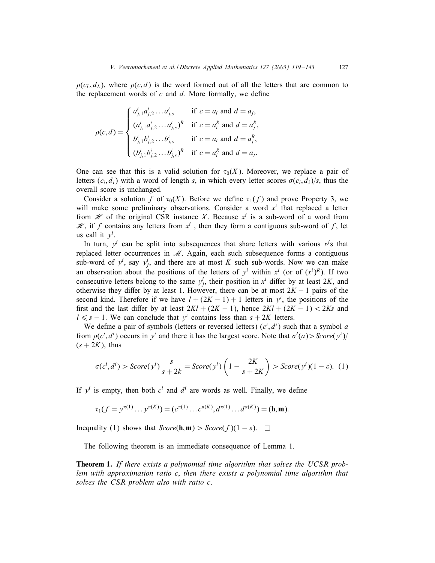$\rho(c_L, d_L)$ , where  $\rho(c, d)$  is the word formed out of all the letters that are common to the replacement words of  $c$  and  $d$ . More formally, we define

$$
\rho(c,d) = \begin{cases}\na_{j,1}^i a_{j,2}^i \dots a_{j,s}^i & \text{if } c = a_i \text{ and } d = a_j, \\
(a_{j,1}^i a_{j,2}^i \dots a_{j,s}^i)^R & \text{if } c = a_i^R \text{ and } d = a_j^R, \\
b_{j,1}^i b_{j,2}^i \dots b_{j,s}^i & \text{if } c = a_i \text{ and } d = a_j^R, \\
(b_{j,1}^i b_{j,2}^i \dots b_{j,s}^i)^R & \text{if } c = a_i^R \text{ and } d = a_j.\n\end{cases}
$$

One can see that this is a valid solution for  $\tau_0(X)$ . Moreover, we replace a pair of letters  $(c_i, d_i)$  with a word of length s, in which every letter scores  $\sigma(c_i, d_i)/s$ , thus the overall score is unchanged.

Consider a solution f of  $\tau_0(X)$ . Before we define  $\tau_1(f)$  and prove Property 3, we will make some preliminary observations. Consider a word  $x^i$  that replaced a letter from  $\mathcal H$  of the original CSR instance X. Because  $x^i$  is a sub-word of a word from  $\mathscr{H}$ , if f contains any letters from  $x^i$ , then they form a contiguous sub-word of f, let us call it  $y^i$ .

In turn,  $y^i$  can be split into subsequences that share letters with various  $x^i$ s that replaced letter occurrences in  $M$ . Again, each such subsequence forms a contiguous sub-word of  $y^i$ , say  $y^i_j$ , and there are at most K such sub-words. Now we can make an observation about the positions of the letters of  $y^i$  within  $x^i$  (or of  $(x^i)^R$ ). If two consecutive letters belong to the same  $y_j^i$ , their position in  $x^i$  differ by at least 2K, and otherwise they differ by at least 1. However, there can be at most  $2K - 1$  pairs of the second kind. Therefore if we have  $l + (2K - 1) + 1$  letters in  $y^{i}$ , the positions of the first and the last differ by at least  $2Kl + (2K - 1)$ , hence  $2Kl + (2K - 1) < 2Ks$  and  $l \leq s - 1$ . We can conclude that  $y^{i}$  contains less than  $s + 2K$  letters.

We define a pair of symbols (letters or reversed letters)  $(c^i, d^i)$  such that a symbol a from  $\rho(c^i, d^i)$  occurs in  $y^i$  and there it has the largest score. Note that  $\sigma'(a) > Score(y^i)$  $(s + 2K)$ , thus

$$
\sigma(c^i, d^i) > Score(y^i) \frac{s}{s + 2k} = Score(y^i) \left(1 - \frac{2K}{s + 2K}\right) > Score(y^i) (1 - \varepsilon). \tag{1}
$$

If  $y^i$  is empty, then both  $c^i$  and  $d^i$  are words as well. Finally, we define

$$
\tau_1(f = y^{\pi(1)} \dots y^{\pi(K)}) = (c^{\pi(1)} \dots c^{\pi(K)}, d^{\pi(1)} \dots d^{\pi(K)}) = (\mathbf{h}, \mathbf{m}).
$$

Inequality (1) shows that  $Score(h, m) > Score(f)(1 - \varepsilon)$ .  $\Box$ 

The following theorem is an immediate consequence of Lemma 1.

**Theorem 1.** If there exists a polynomial time algorithm that solves the UCSR problem with approximation ratio c; then there exists a polynomial time algorithm that solves the CSR problem also with ratio c.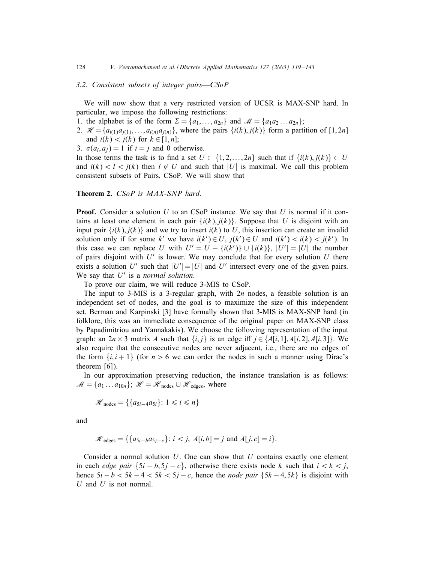#### 3.2. Consistent subsets of integer pairs—CSoP

We will now show that a very restricted version of UCSR is MAX-SNP hard. In particular, we impose the following restrictions:

- 1. the alphabet is of the form  $\Sigma = \{a_1, \ldots, a_{2n}\}\$  and  $\mathcal{M} = \{a_1a_2 \ldots a_{2n}\}\;$
- 2.  $\mathcal{H}=\{a_{i(1)}a_{i(1)},\ldots,a_{i(n)}a_{i(n)}\}$ , where the pairs  $\{i(k),j(k)\}\$ form a partition of  $[1,2n]$ and  $i(k) < j(k)$  for  $k \in [1, n]$ ;
- 3.  $\sigma(a_i, a_j) = 1$  if  $i = j$  and 0 otherwise.

In those terms the task is to find a set  $U \subset \{1, 2, ..., 2n\}$  such that if  $\{i(k), i(k)\} \subset U$ and  $i(k) < l < j(k)$  then  $l \notin U$  and such that |U| is maximal. We call this problem consistent subsets of Pairs, CSoP. We will show that

Theorem 2. CSoP is MAX-SNP hard.

**Proof.** Consider a solution U to an CSoP instance. We say that U is normal if it contains at least one element in each pair  $\{i(k), j(k)\}\$ . Suppose that U is disjoint with an input pair  $\{i(k), j(k)\}$  and we try to insert  $i(k)$  to U, this insertion can create an invalid solution only if for some k' we have  $i(k') \in U$ ,  $j(k') \in U$  and  $i(k') < i(k) < j(k')$ . In this case we can replace U with  $U' = U - \{i(k')\} \cup \{i(k)\}, |U'| = |U|$  the number of pairs disjoint with  $U'$  is lower. We may conclude that for every solution  $U$  there exists a solution U' such that  $|U'| = |U|$  and U' intersect every one of the given pairs. We say that  $U'$  is a normal solution.

To prove our claim, we will reduce 3-MIS to CSoP.

The input to 3-MIS is a 3-regular graph, with  $2n$  nodes, a feasible solution is an independent set of nodes, and the goal is to maximize the size of this independent set. Berman and Karpinski [3] have formally shown that 3-MIS is MAX-SNP hard (in folklore, this was an immediate consequence of the original paper on MAX-SNP class by Papadimitriouand Yannakakis). We choose the following representation of the input graph: an  $2n \times 3$  matrix A such that  $\{i, j\}$  is an edge iff  $j \in \{A[i, 1], A[i, 2], A[i, 3]\}$ . We also require that the consecutive nodes are never adjacent, i.e., there are no edges of the form  $\{i, i + 1\}$  (for  $n > 6$  we can order the nodes in such a manner using Dirac's theorem [6]).

In our approximation preserving reduction, the instance translation is as follows:  $\mathcal{M} = \{a_1 \dots a_{10n}\}; \mathcal{H} = \mathcal{H}_{\text{nodes}} \cup \mathcal{H}_{\text{edges}}$ , where

$$
\mathcal{H}_{\text{nodes}} = \{ \{ a_{5i-4}a_{5i} \} : 1 \leq i \leq n \}
$$

and

$$
\mathcal{H}_{\text{edges}} = \{ \{a_{5i-b}a_{5j-c}\} : i < j, A[i,b] = j \text{ and } A[j,c] = i \}.
$$

Consider a normal solution  $U$ . One can show that  $U$  contains exactly one element in each *edge pair*  $\{5i - b, 5j - c\}$ , otherwise there exists node k such that  $i < k < j$ , hence  $5i - b < 5k - 4 < 5k < 5j - c$ , hence the *node pair*  $\{5k - 4, 5k\}$  is disjoint with  $U$  and  $U$  is not normal.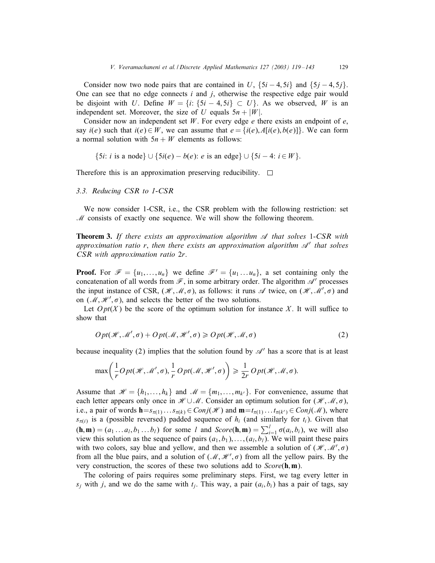Consider now two node pairs that are contained in U,  $\{5i - 4, 5i\}$  and  $\{5j - 4, 5j\}$ . One can see that no edge connects  $i$  and  $j$ , otherwise the respective edge pair would be disjoint with U. Define  $W = \{i: \{5i - 4, 5i\} \subset U\}$ . As we observed, W is an independent set. Moreover, the size of U equals  $5n + |W|$ .

Consider now an independent set  $W$ . For every edge  $e$  there exists an endpoint of  $e$ , say  $i(e)$  such that  $i(e) \in W$ , we can assume that  $e = \{i(e), A[i(e), b(e)]\}$ . We can form a normal solution with  $5n + W$  elements as follows:

$$
\{5i: i \text{ is a node}\} \cup \{5i(e) - b(e): e \text{ is an edge}\} \cup \{5i - 4: i \in W\}.
$$

Therefore this is an approximation preserving reducibility.  $\square$ 

#### 3.3. Reducing CSR to 1-CSR

We now consider 1-CSR, i.e., the CSR problem with the following restriction: set  $M$  consists of exactly one sequence. We will show the following theorem.

**Theorem 3.** If there exists an approximation algorithm  $\mathscr A$  that solves 1-CSR with approximation ratio r, then there exists an approximation algorithm  $\mathscr{A}'$  that solves CSR with approximation ratio 2r.

**Proof.** For  $\mathscr{F} = \{u_1, \ldots, u_n\}$  we define  $\mathscr{F}' = \{u_1 \ldots u_n\}$ , a set containing only the concatenation of all words from  $\mathcal{F}$ , in some arbitrary order. The algorithm  $\mathcal{A}'$  processes the input instance of CSR,  $(\mathcal{H}, \mathcal{M}, \sigma)$ , as follows: it runs  $\mathcal A$  twice, on  $(\mathcal{H}, \mathcal{M}', \sigma)$  and on  $(M, \mathcal{H}', \sigma)$ , and selects the better of the two solutions.

Let  $Opt(X)$  be the score of the optimum solution for instance X. It will suffice to show that

$$
Opt(\mathcal{H}, \mathcal{M}', \sigma) + Opt(\mathcal{M}, \mathcal{H}', \sigma) \ge Opt(\mathcal{H}, \mathcal{M}, \sigma)
$$
\n(2)

because inequality (2) implies that the solution found by  $\mathscr{A}'$  has a score that is at least

$$
\max\left(\frac{1}{r}\mathit{Opt}(\mathcal{H},\mathcal{M}',\sigma),\frac{1}{r}\mathit{Opt}(\mathcal{M},\mathcal{H}',\sigma)\right)\geq \frac{1}{2r}\mathit{Opt}(\mathcal{H},\mathcal{M},\sigma).
$$

Assume that  $\mathcal{H} = \{h_1, \ldots, h_k\}$  and  $\mathcal{M} = \{m_1, \ldots, m_{k'}\}$ . For convenience, assume that each letter appears only once in  $\mathcal{H}\cup\mathcal{M}$ . Consider an optimum solution for  $(\mathcal{H},\mathcal{M},\sigma)$ , i.e., a pair of words  $\mathbf{h} = s_{\pi(1)} \dots s_{\pi(k)} \in Conj(\mathcal{H})$  and  $\mathbf{m} = t_{\pi(1)} \dots t_{\pi(k')} \in Conj(\mathcal{M})$ , where  $s_{\pi(i)}$  is a (possible reversed) padded sequence of  $h_i$  (and similarly for  $t_i$ ). Given that  $(\mathbf{h}, \mathbf{m}) = (a_1 \dots a_l, b_1 \dots b_l)$  for some l and  $Score(\mathbf{h}, \mathbf{m}) = \sum_{i=1}^l \sigma(a_i, b_i)$ , we will also view this solution as the sequence of pairs  $(a_1, b_1), \ldots, (a_l, b_l)$ . We will paint these pairs with two colors, say blue and yellow, and then we assemble a solution of  $(\mathcal{H}, \mathcal{M}', \sigma)$ from all the blue pairs, and a solution of  $(M, \mathcal{H}', \sigma)$  from all the yellow pairs. By the very construction, the scores of these two solutions add to  $Score(h, m)$ .

The coloring of pairs requires some preliminary steps. First, we tag every letter in  $s_j$  with j, and we do the same with  $t_j$ . This way, a pair  $(a_i, b_i)$  has a pair of tags, say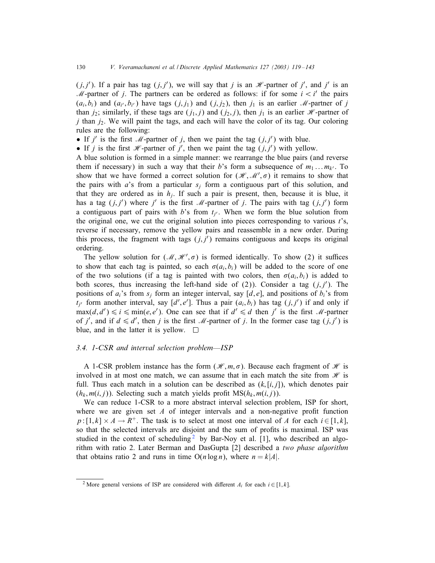$(j, j')$ . If a pair has tag  $(j, j')$ , we will say that j is an  $\mathcal{H}$ -partner of j', and j' is an M-partner of j. The partners can be ordered as follows: if for some  $i < i'$  the pairs  $(a_i, b_i)$  and  $(a_{i'}, b_{i'})$  have tags  $(j, j_1)$  and  $(j, j_2)$ , then  $j_1$  is an earlier M-partner of j than  $j_2$ ; similarly, if these tags are  $(j_1, j)$  and  $(j_2, j)$ , then  $j_1$  is an earlier *H*-partner of  $j$  than  $j_2$ . We will paint the tags, and each will have the color of its tag. Our coloring rules are the following:

- If  $j'$  is the first M-partner of j, then we paint the tag  $(j, j')$  with blue.
- If j is the first  $\mathcal{H}$ -partner of j', then we paint the tag  $(j, j')$  with yellow.

A blue solution is formed in a simple manner: we rearrange the blue pairs (and reverse them if necessary) in such a way that their b's form a subsequence of  $m_1 \dots m_{k'}$ . To show that we have formed a correct solution for  $(\mathcal{H}, \mathcal{M}', \sigma)$  it remains to show that the pairs with a's from a particular  $s_i$  form a contiguous part of this solution, and that they are ordered as in  $h_j$ . If such a pair is present, then, because it is blue, it has a tag  $(j, j')$  where j' is the first M-partner of j. The pairs with tag  $(j, j')$  form a contiguous part of pairs with b's from  $t_{j'}$ . When we form the blue solution from the original one, we cut the original solution into pieces corresponding to various  $t$ 's, reverse if necessary, remove the yellow pairs and reassemble in a new order. During this process, the fragment with tags  $(j, j')$  remains contiguous and keeps its original ordering.

The yellow solution for  $(M, \mathcal{H}', \sigma)$  is formed identically. To show (2) it suffices to show that each tag is painted, so each  $\sigma(a_i, b_i)$  will be added to the score of one of the two solutions (if a tag is painted with two colors, then  $\sigma(a_i, b_i)$  is added to both scores, thus increasing the left-hand side of  $(2)$ ). Consider a tag  $(j, j')$ . The positions of  $a_i$ 's from  $s_i$  form an integer interval, say [d, e], and positions of  $b_i$ 's from  $t_{j'}$  form another interval, say [d',e']. Thus a pair  $(a_i, b_i)$  has tag  $(j, j')$  if and only if  $\max(d, d') \leq i \leq \min(e, e')$ . One can see that if  $d' \leq d$  then j' is the first M-partner of j', and if  $d \le d'$ , then j is the first M-partner of j. In the former case tag  $(j, j')$  is blue, and in the latter it is yellow.  $\Box$ 

# 3.4. 1-CSR and interval selection problem—ISP

A 1-CSR problem instance has the form  $(\mathcal{H}, m, \sigma)$ . Because each fragment of  $\mathcal H$  is involved in at most one match, we can assume that in each match the site from  $\mathcal H$  is full. Thus each match in a solution can be described as  $(k, [i, j])$ , which denotes pair  $(h_k, m(i, j))$ . Selecting such a match yields profit  $MS(h_k, m(i, j))$ .

We can reduce 1-CSR to a more abstract interval selection problem, ISP for short, where we are given set  $A$  of integer intervals and a non-negative profit function  $p:[1,k] \times A \to R^+$ . The task is to select at most one interval of A for each  $i \in [1,k]$ , so that the selected intervals are disjoint and the sum of profits is maximal. ISP was studied in the context of scheduling<sup>2</sup> by Bar-Noy et al. [1], who described an algorithm with ratio 2. Later Berman and DasGupta [2] described a two phase algorithm that obtains ratio 2 and runs in time  $O(n \log n)$ , where  $n = k |A|$ .

<sup>&</sup>lt;sup>2</sup> More general versions of ISP are considered with different  $A_i$  for each  $i \in [1, k]$ .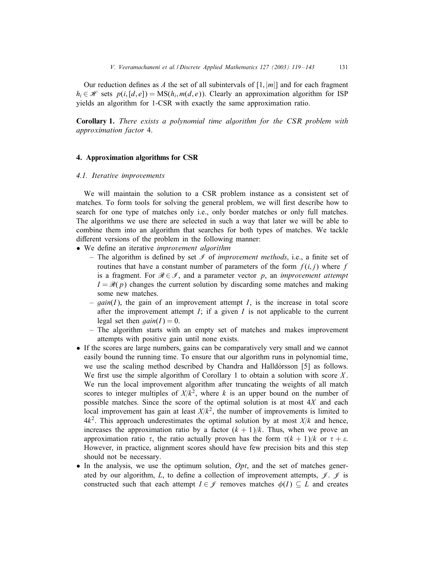Our reduction defines as A the set of all subintervals of  $[1, |m|]$  and for each fragment  $h_i \in \mathcal{H}$  sets  $p(i, [d, e]) = MS(h_i, m(d, e))$ . Clearly an approximation algorithm for ISP yields an algorithm for 1-CSR with exactly the same approximation ratio.

Corollary 1. There exists a polynomial time algorithm for the CSR problem with approximation factor 4.

#### 4. Approximation algorithms for CSR

#### 4.1. Iterative improvements

We will maintain the solution to a CSR problem instance as a consistent set of matches. To form tools for solving the general problem, we will first describe how to search for one type of matches only i.e., only border matches or only full matches. The algorithms we use there are selected in such a way that later we will be able to combine them into an algorithm that searches for both types of matches. We tackle different versions of the problem in the following manner:

- We define an iterative *improvement algorithm* 
	- The algorithm is defined by set  $\mathcal I$  of *improvement methods*, i.e., a finite set of routines that have a constant number of parameters of the form  $f(i, j)$  where f is a fragment. For  $\mathcal{R} \in \mathcal{I}$ , and a parameter vector p, an *improvement attempt*  $I = \mathcal{R}(p)$  changes the current solution by discarding some matches and making some new matches.
	- $gain(I)$ , the gain of an improvement attempt I, is the increase in total score after the improvement attempt  $I$ ; if a given  $I$  is not applicable to the current legal set then  $gain(I) = 0$ .
	- The algorithm starts with an empty set of matches and makes improvement attempts with positive gain until none exists.
- If the scores are large numbers, gains can be comparatively very small and we cannot easily bound the running time. To ensure that our algorithm runs in polynomial time, we use the scaling method described by Chandra and Halld of resolutions. We first use the simple algorithm of Corollary 1 to obtain a solution with score  $X$ . We run the local improvement algorithm after truncating the weights of all match scores to integer multiples of  $X/k^2$ , where k is an upper bound on the number of possible matches. Since the score of the optimal solution is at most 4X and each local improvement has gain at least  $X/k^2$ , the number of improvements is limited to  $4k<sup>2</sup>$ . This approach underestimates the optimal solution by at most  $X/k$  and hence, increases the approximation ratio by a factor  $(k + 1)/k$ . Thus, when we prove an approximation ratio  $\tau$ , the ratio actually proven has the form  $\tau(k + 1)/k$  or  $\tau + \varepsilon$ . However, in practice, alignment scores should have few precision bits and this step should not be necessary.
- In the analysis, we use the optimum solution,  $Opt$ , and the set of matches generated by our algorithm, L, to define a collection of improvement attempts,  $\mathcal{J}$ .  $\mathcal{J}$  is constructed such that each attempt  $I \in \mathscr{J}$  removes matches  $\phi(I) \subseteq L$  and creates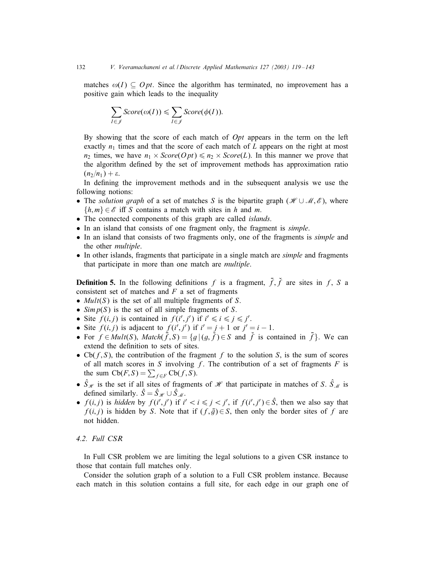matches  $\omega(I) \subseteq Opt$ . Since the algorithm has terminated, no improvement has a positive gain which leads to the inequality

$$
\sum_{I \in \mathcal{J}} Score(\omega(I)) \leq \sum_{I \in \mathcal{J}} Score(\phi(I)).
$$

By showing that the score of each match of  $Opt$  appears in the term on the left exactly  $n_1$  times and that the score of each match of L appears on the right at most  $n_2$  times, we have  $n_1 \times Score(Opt) \leq n_2 \times Score(L)$ . In this manner we prove that the algorithm defined by the set of improvement methods has approximation ratio  $(n_2/n_1) + \varepsilon$ .

In defining the improvement methods and in the subsequent analysis we use the following notions:

- The solution graph of a set of matches S is the bipartite graph ( $\mathcal{H} \cup \mathcal{M}, \mathcal{E}$ ), where  $\{h, m\} \in \mathscr{E}$  iff S contains a match with sites in h and m.
- The connected components of this graph are called *islands*.
- In an island that consists of one fragment only, the fragment is *simple*.
- In an island that consists of two fragments only, one of the fragments is *simple* and the other multiple.
- In other islands, fragments that participate in a single match are *simple* and fragments that participate in more than one match are *multiple*.

**Definition 5.** In the following definitions f is a fragment,  $\bar{f}$ ,  $\bar{f}$  are sites in f, S a consistent set of matches and  $F$  a set of fragments

- $Mult(S)$  is the set of all multiple fragments of S.
- $\sin p(S)$  is the set of all simple fragments of S.
- Site  $f(i, j)$  is contained in  $f(i', j')$  if  $i' \le i \le j \le j'$ .
- Site  $f(i, j)$  is adjacent to  $f(i', j')$  if  $i' = j + 1$  or  $j' = i 1$ .
- For  $f \in Mult(S)$ , Match $(\bar{f}, S) = \{g | (g, \check{f}) \in S \text{ and } \check{f} \text{ is contained in } \bar{f}\}\)$ . We can extend the definition to sets of sites.
- Cb( $f, S$ ), the contribution of the fragment f to the solution S, is the sum of scores of all match scores in S involving f. The contribution of a set of fragments  $F$  is the sum  $\text{Cb}(F, S) = \sum_{f \in F} \text{Cb}(f, S).$
- $\hat{S}_{\mathscr{H}}$  is the set if all sites of fragments of  $\mathscr{H}$  that participate in matches of S.  $\hat{S}_{\mathscr{M}}$  is defined similarly.  $\hat{S} = \hat{S}_{\mathcal{H}} \cup \hat{S}_{\mathcal{M}}$ .
- $f(i, j)$  is hidden by  $f(i', j')$  if  $i' < i \leq j < j'$ , if  $f(i', j') \in \hat{S}$ , then we also say that  $f(i, j)$  is hidden by S. Note that if  $(f, \bar{g}) \in S$ , then only the border sites of f are not hidden.

## 4.2. Full CSR

In Full CSR problem we are limiting the legal solutions to a given CSR instance to those that contain full matches only.

Consider the solution graph of a solution to a Full CSR problem instance. Because each match in this solution contains a full site, for each edge in our graph one of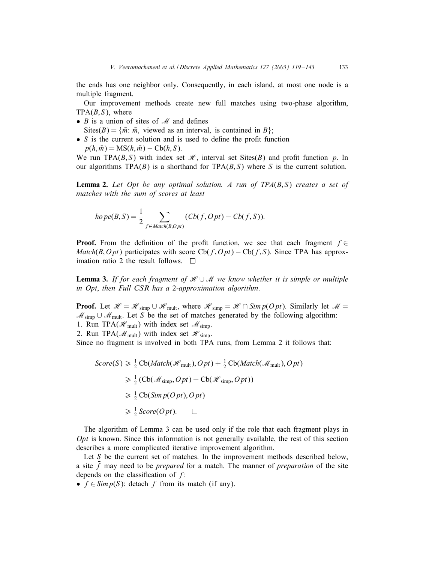the ends has one neighbor only. Consequently, in each island, at most one node is a multiple fragment.

Our improvement methods create new full matches using two-phase algorithm,  $TPA(B, S)$ , where

•  $B$  is a union of sites of  $M$  and defines

 $\text{Sites}(B) = \{\bar{m} : \bar{m}, \text{ viewed as an interval, is contained in } B\};$ 

•  $S$  is the current solution and is used to define the profit function  $p(h, \bar{m}) = MS(h, \bar{m}) - Cb(h, S).$ 

We run TPA(B, S) with index set  $\mathcal{H}$ , interval set Sites(B) and profit function p. In our algorithms TPA( $B$ ) is a shorthand for TPA( $B$ , S) where S is the current solution.

**Lemma 2.** Let Opt be any optimal solution. A run of  $TPA(B, S)$  creates a set of matches with the sum of scores at least

$$
ho\,pe(B,S) = \frac{1}{2} \sum_{f \in Match(B,Opt)} (Cb(f,Opt) - Cb(f,S)).
$$

**Proof.** From the definition of the profit function, we see that each fragment  $f \in$  $Match(B, Opt)$  participates with score Cb(f, Opt) – Cb(f, S). Since TPA has approximation ratio 2 the result follows.  $\Box$ 

**Lemma 3.** If for each fragment of  $\mathcal{H} \cup \mathcal{M}$  we know whether it is simple or multiple in Opt; then Full CSR has a 2-approximation algorithm.

**Proof.** Let  $\mathcal{H} = \mathcal{H}_{\text{simp}} \cup \mathcal{H}_{\text{mult}}$ , where  $\mathcal{H}_{\text{simp}} = \mathcal{H} \cap \text{Sim } p(Opt)$ . Similarly let  $\mathcal{M} =$  $\mathcal{M}_{\text{simp}} \cup \mathcal{M}_{\text{mult}}$ . Let S be the set of matches generated by the following algorithm: 1. Run TPA( $\mathcal{H}_{\text{mult}}$ ) with index set  $\mathcal{M}_{\text{simp}}$ .

2. Run TPA( $\mathcal{M}_{\text{mult}}$ ) with index set  $\mathcal{H}_{\text{sim}}$ .

Since no fragment is involved in both TPA runs; from Lemma 2 it follows that:

$$
Score(S) \geq \frac{1}{2} \text{Cb}(Match(\mathcal{H}_{mult}), Opt) + \frac{1}{2} \text{Cb}(Match(\mathcal{M}_{mult}), Opt)
$$
  
\n
$$
\geq \frac{1}{2} (\text{Cb}(\mathcal{M}_{simp}, Opt) + \text{Cb}(\mathcal{H}_{simp}, Opt))
$$
  
\n
$$
\geq \frac{1}{2} \text{Cb}(Simp(Opt), Opt)
$$
  
\n
$$
\geq \frac{1}{2} Score(Opt).
$$

The algorithm of Lemma 3 can be used only if the role that each fragment plays in  $Opt$  is known. Since this information is not generally available, the rest of this section describes a more complicated iterative improvement algorithm.

Let  $S$  be the current set of matches. In the improvement methods described below, a site  $\bar{f}$  may need to be *prepared* for a match. The manner of *preparation* of the site depends on the classification of  $f$ :

•  $f \in Sim p(S)$ : detach f from its match (if any).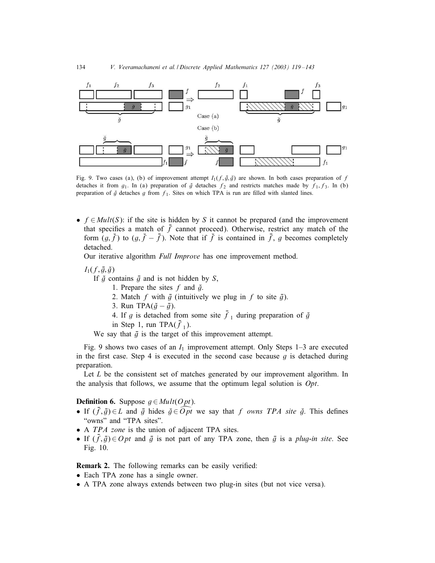

Fig. 9. Two cases (a), (b) of improvement attempt  $I_1(f, \bar{g}, \bar{g})$  are shown. In both cases preparation of f detaches it from  $g_1$ . In (a) preparation of  $\check{g}$  detaches  $f_2$  and restricts matches made by  $f_1, f_3$ . In (b) preparation of  $\check{g}$  detaches g from  $f_1$ . Sites on which TPA is run are filled with slanted lines.

•  $f \in Mult(S)$ : if the site is hidden by S it cannot be prepared (and the improvement that specifies a match of  $\bar{f}$  cannot proceed). Otherwise, restrict any match of the form  $(g, \check{f})$  to  $(g, \check{f} - \bar{f})$ . Note that if  $\check{f}$  is contained in  $\bar{f}$ , g becomes completely detached.

Our iterative algorithm Full Improve has one improvement method.

 $I_1(f,\bar{g},\check{g})$ 

If  $\tilde{q}$  contains  $\bar{q}$  and is not hidden by S,

- 1. Prepare the sites  $f$  and  $\check{g}$ .
- 2. Match f with  $\bar{g}$  (intuitively we plug in f to site  $\bar{g}$ ).
- 3. Run TPA $(\check{g} \bar{g})$ .
- 4. If g is detached from some site  $\bar{f}_1$  during preparation of  $\tilde{g}$
- in Step 1, run TPA $(\bar{f}_1)$ .

We say that  $\bar{g}$  is the target of this improvement attempt.

Fig. 9 shows two cases of an  $I_1$  improvement attempt. Only Steps 1–3 are executed in the first case. Step 4 is executed in the second case because  $q$  is detached during preparation.

Let  $L$  be the consistent set of matches generated by our improvement algorithm. In the analysis that follows, we assume that the optimum legal solution is  $Opt$ .

**Definition 6.** Suppose  $g \in Mult(Opt)$ .

- If  $(\bar{f}, \bar{g}) \in L$  and  $\bar{g}$  hides  $\bar{g} \in \widehat{Opt}$  we say that f owns TPA site  $\bar{g}$ . This defines "owns" and "TPA sites".
- A *TPA zone* is the union of adjacent TPA sites.
- If  $(\bar{f}, \bar{g}) \in Opt$  and  $\bar{g}$  is not part of any TPA zone, then  $\bar{g}$  is a *plug-in site*. See Fig. 10.

Remark 2. The following remarks can be easily verified:

- Each TPA zone has a single owner.
- A TPA zone always extends between two plug-in sites (but not vice versa).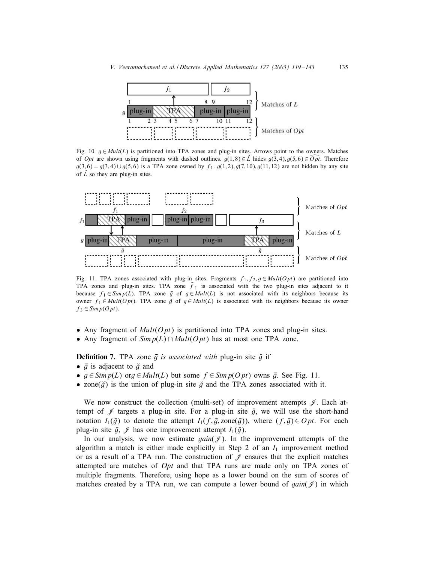

Fig. 10.  $g \in Mult(L)$  is partitioned into TPA zones and plug-in sites. Arrows point to the owners. Matches of *Opt* are shown using fragments with dashed outlines.  $g(1, 8) \in \hat{L}$  hides  $g(3, 4), g(5, 6) \in \widehat{Opt}$ . Therefore  $g(3,6) = g(3,4) \cup g(5,6)$  is a TPA zone owned by  $f_1$ .  $g(1,2)$ ,  $g(7,10)$ ,  $g(11,12)$  are not hidden by any site of  $\hat{L}$  so they are plug-in sites.



Fig. 11. TPA zones associated with plug-in sites. Fragments  $f_1, f_2, g \in Mult(Opt)$  are partitioned into TPA zones and plug-in sites. TPA zone  $\bar{f}_1$  is associated with the two plug-in sites adjacent to it because  $f_1 \in Simp(L)$ . TPA zone  $\bar{g}$  of  $g \in Mult(L)$  is not associated with its neighbors because its owner  $f_1 \in Mult(Opt)$ . TPA zone  $\check{g}$  of  $g \in Mult(L)$  is associated with its neighbors because its owner  $f_3 \in \text{Sim } p(Opt)$ .

- Any fragment of  $Mult(Opt)$  is partitioned into TPA zones and plug-in sites.
- Any fragment of  $Simp(L) \cap Mult(Opt)$  has at most one TPA zone.

**Definition 7.** TPA zone  $\bar{q}$  is associated with plug-in site  $\tilde{q}$  if

- $\bar{q}$  is adjacent to  $\bar{q}$  and
- $q \in \text{Sim } p(L)$  org  $\in \text{Mult}(L)$  but some  $f \in \text{Sim } p(Opt)$  owns  $\bar{q}$ . See Fig. 11.
- zone( $\tilde{q}$ ) is the union of plug-in site  $\tilde{q}$  and the TPA zones associated with it.

We now construct the collection (multi-set) of improvement attempts  $\mathscr{J}$ . Each attempt of  $\mathcal J$  targets a plug-in site. For a plug-in site  $\bar{g}$ , we will use the short-hand notation  $I_1(\bar{g})$  to denote the attempt  $I_1(f, \bar{g}, \text{zone}(\bar{g}))$ , where  $(f, \bar{g}) \in Opt$ . For each plug-in site  $\bar{g}$ ,  $\mathscr{J}$  has one improvement attempt  $I_1(\bar{g})$ .

In our analysis, we now estimate *gain(* $\mathcal{I}$ *)*. In the improvement attempts of the algorithm a match is either made explicitly in Step 2 of an  $I_1$  improvement method or as a result of a TPA run. The construction of  $\mathscr J$  ensures that the explicit matches attempted are matches of  $Opt$  and that TPA runs are made only on TPA zones of multiple fragments. Therefore, using hope as a lower bound on the sum of scores of matches created by a TPA run, we can compute a lower bound of  $gain(\mathcal{J})$  in which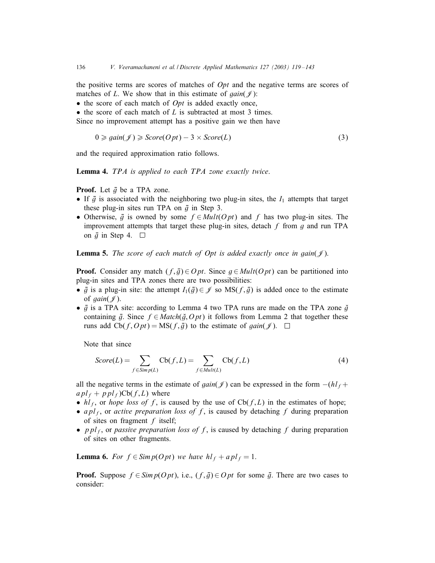the positive terms are scores of matches of  $Opt$  and the negative terms are scores of matches of L. We show that in this estimate of  $gain(\mathcal{J})$ :

- $\bullet$  the score of each match of *Opt* is added exactly once,
- the score of each match of  $L$  is subtracted at most 3 times.

Since no improvement attempt has a positive gain we then have

$$
0 \geq \text{gain}(\mathcal{J}) \geq \text{Score}(Opt) - 3 \times \text{Score}(L) \tag{3}
$$

and the required approximation ratio follows.

Lemma 4. TPA is applied to each TPA zone exactly twice.

**Proof.** Let  $\bar{g}$  be a TPA zone.

- If  $\bar{g}$  is associated with the neighboring two plug-in sites, the  $I_1$  attempts that target these plug-in sites run TPA on  $\bar{g}$  in Step 3.
- Otherwise,  $\bar{g}$  is owned by some  $f \in Mult(Opt)$  and f has two plug-in sites. The improvement attempts that target these plug-in sites, detach  $f$  from  $g$  and run TPA on  $\bar{g}$  in Step 4.  $\Box$

**Lemma 5.** The score of each match of Opt is added exactly once in gain( $\mathcal{J}$ ).

**Proof.** Consider any match  $(f, \bar{g}) \in Opt$ . Since  $g \in Mult(Opt)$  can be partitioned into plug-in sites and TPA zones there are two possibilities:

- $\bar{g}$  is a plug-in site: the attempt  $I_1(\bar{g}) \in \mathscr{J}$  so  $MS(f, \bar{g})$  is added once to the estimate of gain $(\mathscr{J})$ .
- $\bar{g}$  is a TPA site: according to Lemma 4 two TPA runs are made on the TPA zone  $\bar{g}$ containing  $\bar{g}$ . Since  $f \in Match(\bar{g}, Opt)$  it follows from Lemma 2 that together these runs add Cb(f, O pt) = MS(f,  $\bar{q}$ ) to the estimate of gain( $\mathcal{J}$ ).  $\Box$

Note that since

$$
Score(L) = \sum_{f \in Simp(L)} Cb(f, L) = \sum_{f \in Mult(L)} Cb(f, L)
$$
\n(4)

all the negative terms in the estimate of  $gain(\mathcal{J})$  can be expressed in the form  $-(hI_f+$  $apl_f + ppl_f$ )Cb(f,L) where

- $h l_f$ , or hope loss of f, is caused by the use of Cb(f, L) in the estimates of hope;
- a  $p l_f$ , or active preparation loss of f, is caused by detaching f during preparation of sites on fragment  $f$  itself;
- ppl<sub>f</sub>, or passive preparation loss of f, is caused by detaching f during preparation of sites on other fragments.

**Lemma 6.** For  $f \in \text{Sim } p(Opt)$  we have  $hl_f + apl_f = 1$ .

**Proof.** Suppose  $f \in \text{Sim } p(Opt)$ , i.e.,  $(f, \bar{g}) \in Opt$  for some  $\bar{g}$ . There are two cases to consider: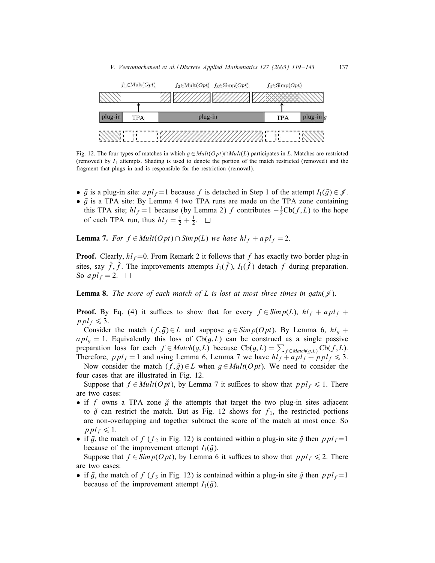

Fig. 12. The four types of matches in which  $q \in Mult(Opt) \cap Mult(L)$  participates in L. Matches are restricted (removed) by  $I_1$  attempts. Shading is used to denote the portion of the match restricted (removed) and the fragment that plugs in and is responsible for the restriction (removal).

- $\bar{g}$  is a plug-in site:  $a pl_f=1$  because f is detached in Step 1 of the attempt  $I_1(\bar{g}) \in \mathcal{J}$ .
- $\bar{g}$  is a TPA site: By Lemma 4 two TPA runs are made on the TPA zone containing this TPA site;  $hl_f = 1$  because (by Lemma 2) f contributes  $-\frac{1}{2}Cb(f, L)$  to the hope of each TPA run, thus  $hl_f = \frac{1}{2} + \frac{1}{2}$ .

**Lemma 7.** For  $f \in Mult(Opt) \cap Simp(L)$  we have  $hl_f + apl_f = 2$ .

**Proof.** Clearly,  $hl_f=0$ . From Remark 2 it follows that f has exactly two border plug-in sites, say  $\bar{f}$ ,  $\check{f}$ . The improvements attempts  $I_1(\bar{f})$ ,  $I_1(\check{f})$  detach f during preparation. So apl<sub>f</sub> = 2.  $\square$ 

**Lemma 8.** The score of each match of L is lost at most three times in gain( $\mathcal{J}$ ).

**Proof.** By Eq. (4) it suffices to show that for every  $f \in Simp(L)$ ,  $hl_f + apl_f +$  $ppl_f \leq 3$ .

Consider the match  $(f,\bar{g})\in L$  and suppose  $g\in \text{Sim }p(Opt)$ . By Lemma 6,  $hl_g +$  $apl<sub>g</sub> = 1$ . Equivalently this loss of Cb(g, L) can be construed as a single passive preparation loss for each  $f \in Match(g, L)$  because  $Cb(g, L) = \sum_{f \in Match(g, L)} Cb(f, L)$ . Therefore,  $ppl_f = 1$  and using Lemma 6, Lemma 7 we have  $hl_f + apl_f + ppl_f \leq 3$ .

Now consider the match  $(f,\bar{g})\in L$  when  $g\in Mult(Opt)$ . We need to consider the four cases that are illustrated in Fig. 12.

Suppose that  $f \in Mult(Opt)$ , by Lemma 7 it suffices to show that  $ppl_f \leq 1$ . There are two cases:

- if  $f$  owns a TPA zone  $\check{g}$  the attempts that target the two plug-in sites adjacent to  $\check{g}$  can restrict the match. But as Fig. 12 shows for  $f_1$ , the restricted portions are non-overlapping and together subtract the score of the match at most once. So  $ppl_f \leq 1$ .
- if  $\bar{g}$ , the match of  $f$  ( $f_2$  in Fig. 12) is contained within a plug-in site  $\bar{g}$  then  $ppl_f=1$ because of the improvement attempt  $I_1(\check{q})$ .

Suppose that  $f \in \text{Sim } p(Opt)$ , by Lemma 6 it suffices to show that  $ppl_f \leq 2$ . There are two cases:

• if  $\bar{g}$ , the match of  $f$  ( $f_3$  in Fig. 12) is contained within a plug-in site  $\bar{g}$  then  $ppl_f=1$ because of the improvement attempt  $I_1(\check{g})$ .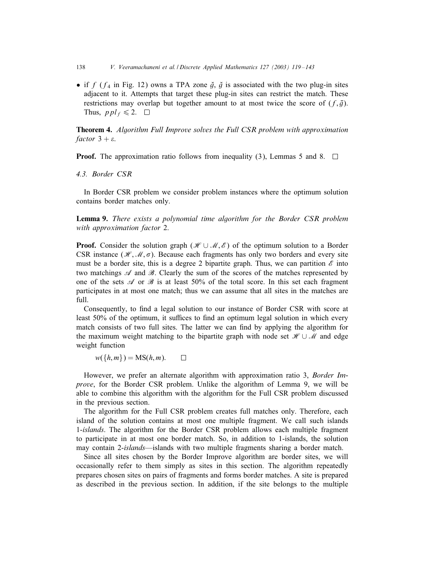• if f ( $f_4$  in Fig. 12) owns a TPA zone  $\check{g}$ ,  $\check{g}$  is associated with the two plug-in sites adjacent to it. Attempts that target these plug-in sites can restrict the match. These restrictions may overlap but together amount to at most twice the score of  $(f, \bar{g})$ . Thus,  $ppl_f \leq 2$ .  $\Box$ 

Theorem 4. Algorithm Full Improve solves the Full CSR problem with approximation factor  $3 + \varepsilon$ .

**Proof.** The approximation ratio follows from inequality (3), Lemmas 5 and 8.  $\Box$ 

4.3. Border CSR

In Border CSR problem we consider problem instances where the optimum solution contains border matches only.

Lemma 9. There exists a polynomial time algorithm for the Border CSR problem with approximation factor 2.

**Proof.** Consider the solution graph ( $\mathcal{H} \cup \mathcal{M}, \mathcal{E}$ ) of the optimum solution to a Border CSR instance ( $\mathcal{H}, \mathcal{M}, \sigma$ ). Because each fragments has only two borders and every site must be a border site, this is a degree 2 bipartite graph. Thus, we can partition  $\mathscr E$  into two matchings  $\mathscr A$  and  $\mathscr B$ . Clearly the sum of the scores of the matches represented by one of the sets  $\mathscr A$  or  $\mathscr B$  is at least 50% of the total score. In this set each fragment participates in at most one match; thus we can assume that all sites in the matches are full.

Consequently, to Ind a legal solution to our instance of Border CSR with score at least  $50\%$  of the optimum, it suffices to find an optimum legal solution in which every match consists of two full sites. The latter we can Ind by applying the algorithm for the maximum weight matching to the bipartite graph with node set  $\mathcal{H} \cup \mathcal{M}$  and edge weight function

 $w({h, m}) = MS(h, m).$  $\Box$ 

However, we prefer an alternate algorithm with approximation ratio 3, *Border Im*prove, for the Border CSR problem. Unlike the algorithm of Lemma 9, we will be able to combine this algorithm with the algorithm for the Full CSR problem discussed in the previous section.

The algorithm for the Full CSR problem creates full matches only. Therefore, each island of the solution contains at most one multiple fragment. We call such islands 1-*islands*. The algorithm for the Border CSR problem allows each multiple fragment to participate in at most one border match. So, in addition to 1-islands, the solution may contain 2-*islands*—islands with two multiple fragments sharing a border match.

Since all sites chosen by the Border Improve algorithm are border sites, we will occasionally refer to them simply as sites in this section. The algorithm repeatedly prepares chosen sites on pairs of fragments and forms border matches. A site is prepared as described in the previous section. In addition, if the site belongs to the multiple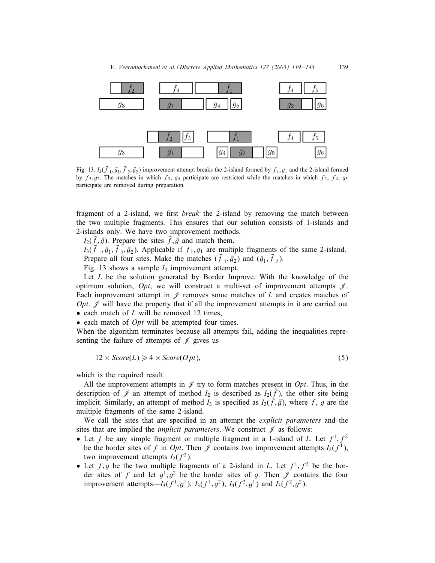

Fig. 13.  $I_3(\bar{f}_1, \bar{g}_1, \bar{f}_2, \bar{g}_2)$  improvement attempt breaks the 2-island formed by  $f_1, g_1$  and the 2-island formed by  $f_5, g_2$ . The matches in which  $f_3, g_4$  participate are restricted while the matches in which  $f_2, f_4, g_5$ participate are removed during preparation.

fragment of a 2-island, we first *break* the 2-island by removing the match between the two multiple fragments. This ensures that our solution consists of 1-islands and 2-islands only. We have two improvement methods.

 $I_2(\bar{f}, \bar{g})$ . Prepare the sites  $\bar{f}, \bar{g}$  and match them.

 $I_3(\bar{f}_1, \bar{g}_1, \bar{f}_2, \bar{g}_2)$ . Applicable if  $f_1, g_1$  are multiple fragments of the same 2-island. Prepare all four sites. Make the matches  $(\bar{f}_1, \bar{g}_2)$  and  $(\bar{g}_1, \bar{f}_2)$ .

Fig. 13 shows a sample  $I_3$  improvement attempt.

Let  $L$  be the solution generated by Border Improve. With the knowledge of the optimum solution, Opt, we will construct a multi-set of improvement attempts  $\mathcal{J}$ . Each improvement attempt in  $\mathcal J$  removes some matches of L and creates matches of Opt.  $\mathscr I$  will have the property that if all the improvement attempts in it are carried out

• each match of  $L$  will be removed 12 times,

• each match of  $Opt$  will be attempted four times.

When the algorithm terminates because all attempts fail, adding the inequalities representing the failure of attempts of  $\mathscr J$  gives us

$$
12 \times Score(L) \geq 4 \times Score(Opt),
$$
\n<sup>(5)</sup>

which is the required result.

All the improvement attempts in  $\mathcal J$  try to form matches present in Opt. Thus, in the description of  $\mathscr J$  an attempt of method  $I_2$  is described as  $I_2(\bar f)$ , the other site being implicit. Similarly, an attempt of method  $I_3$  is specified as  $I_3(\bar{f}, \bar{g})$ , where f, g are the multiple fragments of the same 2-island.

We call the sites that are specified in an attempt the *explicit parameters* and the sites that are implied the *implicit parameters*. We construct  $\mathcal{J}$  as follows:

- Let f be any simple fragment or multiple fragment in a 1-island of L. Let  $f^1, f^2$ be the border sites of f in Opt. Then  $\mathscr J$  contains two improvement attempts  $I_2(f^1)$ , two improvement attempts  $I_2(f^2)$ .
- Let  $f, g$  be the two multiple fragments of a 2-island in L. Let  $f^1, f^2$  be the border sites of f and let  $g^1, g^2$  be the border sites of g. Then  $\mathscr J$  contains the four improvement attempts— $I_3(f^1, g^1)$ ,  $I_3(f^1, g^2)$ ,  $I_3(f^2, g^1)$  and  $I_3(f^2, g^2)$ .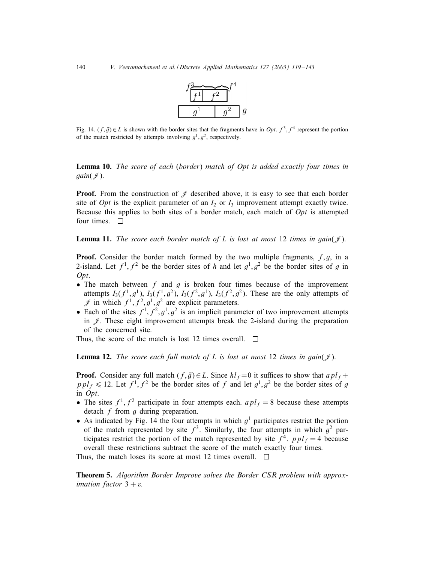

Fig. 14.  $(f, \bar{g}) \in L$  is shown with the border sites that the fragments have in Opt.  $f^3$ ,  $f^4$  represent the portion of the match restricted by attempts involving  $g^1, g^2$ , respectively.

Lemma 10. The score of each (border) match of Opt is added exactly four times in  $gain(*f*).$ 

**Proof.** From the construction of  $\mathcal J$  described above, it is easy to see that each border site of *Opt* is the explicit parameter of an  $I_2$  or  $I_3$  improvement attempt exactly twice. Because this applies to both sites of a border match, each match of  $Opt$  is attempted four times.  $\square$ 

**Lemma 11.** The score each border match of L is lost at most 12 times in gain( $\mathcal{I}$ ).

**Proof.** Consider the border match formed by the two multiple fragments,  $f$ ,  $g$ , in a 2-island. Let  $f^1$ ,  $f^2$  be the border sites of h and let  $g^1$ ,  $g^2$  be the border sites of g in Opt.

- The match between  $f$  and  $g$  is broken four times because of the improvement attempts  $I_3(f^1, g^1)$ ,  $I_3(f^1, g^2)$ ,  $I_3(f^2, g^1)$ ,  $I_3(f^2, g^2)$ . These are the only attempts of  $\mathscr{J}$  in which  $f^1, f^2, g^1, g^2$  are explicit parameters.
- Each of the sites  $f^1, f^2, g^1, g^2$  is an implicit parameter of two improvement attempts in  $\mathscr{J}$ . These eight improvement attempts break the 2-island during the preparation of the concerned site.

Thus, the score of the match is lost 12 times overall.  $\Box$ 

**Lemma 12.** The score each full match of L is lost at most 12 times in gain( $\mathcal{I}$ ).

**Proof.** Consider any full match (f,  $\bar{g}$ )∈L. Since  $hl_f=0$  it suffices to show that  $apl_f+$  $ppl_f \leq 12$ . Let  $f^1, f^2$  be the border sites of f and let  $g^1, g^2$  be the border sites of g in Opt.

- The sites  $f^1, f^2$  participate in four attempts each.  $apl_f = 8$  because these attempts detach  $f$  from  $q$  during preparation.
- As indicated by Fig. 14 the four attempts in which  $g<sup>1</sup>$  participates restrict the portion of the match represented by site  $f^3$ . Similarly, the four attempts in which  $g^2$  participates restrict the portion of the match represented by site  $f^4$ .  $ppl_f = 4$  because overall these restrictions subtract the score of the match exactly four times.

Thus, the match loses its score at most 12 times overall.  $\Box$ 

Theorem 5. Algorithm Border Improve solves the Border CSR problem with approx*imation factor*  $3 + \varepsilon$ .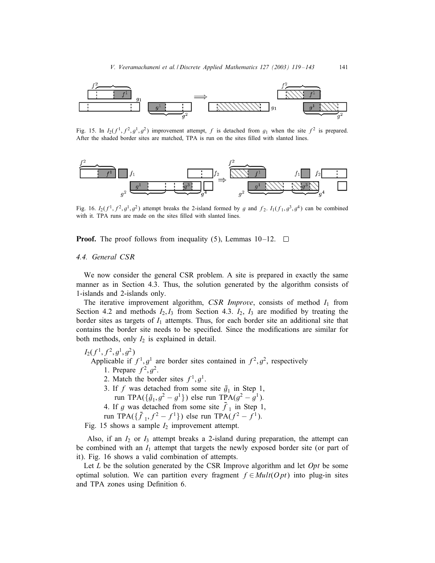

Fig. 15. In  $I_2(f^1, f^2, g^1, g^2)$  improvement attempt, f is detached from  $g_1$  when the site  $f^2$  is prepared. After the shaded border sites are matched, TPA is run on the sites Illed with slanted lines.



Fig. 16.  $I_2(f^1, f^2, g^1, g^2)$  attempt breaks the 2-island formed by g and  $f_2$ .  $I_1(f_1, g^3, g^4)$  can be combined with it. TPA runs are made on the sites filled with slanted lines.

**Proof.** The proof follows from inequality (5), Lemmas  $10-12$ .  $\Box$ 

## 4.4. General CSR

We now consider the general CSR problem. A site is prepared in exactly the same manner as in Section 4.3. Thus, the solution generated by the algorithm consists of 1-islands and 2-islands only.

The iterative improvement algorithm, CSR Improve, consists of method  $I_1$  from Section 4.2 and methods  $I_2, I_3$  from Section 4.3.  $I_2, I_3$  are modified by treating the border sites as targets of  $I_1$  attempts. Thus, for each border site an additional site that contains the border site needs to be specified. Since the modifications are similar for both methods, only  $I_2$  is explained in detail.

 $I_2(f<sup>1</sup>, f<sup>2</sup>, g<sup>1</sup>, g<sup>2</sup>)$ 

Applicable if  $f^1, g^1$  are border sites contained in  $f^2, g^2$ , respectively

1. Prepare  $f^2$ ,  $g^2$ .

- 2. Match the border sites  $f^1, g^1$ .
- 3. If f was detached from some site  $\bar{g}_1$  in Step 1, run TPA( $\{\bar{g}_1, g^2 - g^1\}$ ) else run TPA( $g^2 - g^1$ ).
- 4. If g was detached from some site  $\bar{f}_1$  in Step 1,

run 
$$
TPA(\{\bar{f}_1, f^2 - f^1\})
$$
 else run  $TPA(f^2 - f^1)$ .

Fig. 15 shows a sample  $I_2$  improvement attempt.

Also, if an  $I_2$  or  $I_3$  attempt breaks a 2-island during preparation, the attempt can be combined with an  $I_1$  attempt that targets the newly exposed border site (or part of it). Fig. 16 shows a valid combination of attempts.

Let  $L$  be the solution generated by the CSR Improve algorithm and let  $Opt$  be some optimal solution. We can partition every fragment  $f \in Mult(Opt)$  into plug-in sites and TPA zones using Definition 6.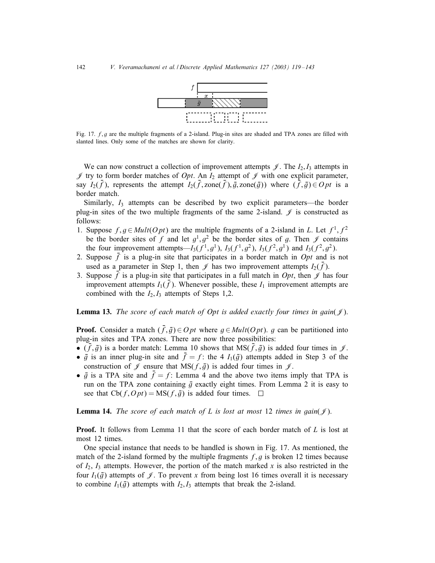

Fig. 17.  $f, g$  are the multiple fragments of a 2-island. Plug-in sites are shaded and TPA zones are filled with slanted lines. Only some of the matches are shown for clarity.

We can now construct a collection of improvement attempts  $\mathcal{J}$ . The  $I_2, I_3$  attempts in  $\mathscr J$  try to form border matches of *Opt*. An  $I_2$  attempt of  $\mathscr J$  with one explicit parameter, say  $I_2(\bar{f})$ , represents the attempt  $I_2(\bar{f}, \text{zone}(\bar{f}), \bar{g}, \text{zone}(\bar{g}))$  where  $(\bar{f}, \bar{g}) \in Opt$  is a border match.

Similarly,  $I_3$  attempts can be described by two explicit parameters—the border plug-in sites of the two multiple fragments of the same 2-island.  $\ell$  is constructed as follows:

- 1. Suppose  $f, g \in Mult(Opt)$  are the multiple fragments of a 2-island in L. Let  $f^1, f^2$ be the border sites of f and let  $g^1, g^2$  be the border sites of g. Then  $\mathscr J$  contains the four improvement attempts— $I_3(f^1, g^1)$ ,  $I_3(f^1, g^2)$ ,  $I_3(f^2, g^1)$  and  $I_3(f^2, g^2)$ .
- 2. Suppose  $\bar{f}$  is a plug-in site that participates in a border match in Opt and is not used as a parameter in Step 1, then  $\mathscr J$  has two improvement attempts  $I_2(\bar f)$ .
- 3. Suppose  $\bar{f}$  is a plug-in site that participates in a full match in Opt, then  $\mathscr J$  has four improvement attempts  $I_1(\bar{f})$ . Whenever possible, these  $I_1$  improvement attempts are combined with the  $I_2$ ,  $I_3$  attempts of Steps 1,2.

**Lemma 13.** The score of each match of Opt is added exactly four times in gain( $\mathcal{J}$ ).

**Proof.** Consider a match  $(\bar{f}, \bar{g}) \in Opt$  where  $g \in Mult(Opt)$ . g can be partitioned into plug-in sites and TPA zones. There are now three possibilities:

- $(\bar{f}, \bar{g})$  is a border match: Lemma 10 shows that  $MS(\bar{f}, \bar{g})$  is added four times in  $\mathcal{J}$ .
- $\bar{g}$  is an inner plug-in site and  $\bar{f} = f$ : the 4  $I_1(\bar{g})$  attempts added in Step 3 of the construction of  $\mathscr J$  ensure that  $MS(f, \bar{g})$  is added four times in  $\mathscr J$ .
- $\bar{g}$  is a TPA site and  $\bar{f} = f$ : Lemma 4 and the above two items imply that TPA is run on the TPA zone containing  $\bar{q}$  exactly eight times. From Lemma 2 it is easy to see that  $\text{Cb}(f, Opt) = \text{MS}(f, \bar{g})$  is added four times.  $\square$

**Lemma 14.** The score of each match of L is lost at most 12 times in gain( $\mathcal{I}$ ).

**Proof.** It follows from Lemma 11 that the score of each border match of  $L$  is lost at most 12 times.

One special instance that needs to be handled is shown in Fig. 17. As mentioned, the match of the 2-island formed by the multiple fragments  $f, g$  is broken 12 times because of  $I_2$ ,  $I_3$  attempts. However, the portion of the match marked x is also restricted in the four  $I_1(\bar{g})$  attempts of  $\mathcal J$ . To prevent x from being lost 16 times overall it is necessary to combine  $I_1(\bar{g})$  attempts with  $I_2, I_3$  attempts that break the 2-island.